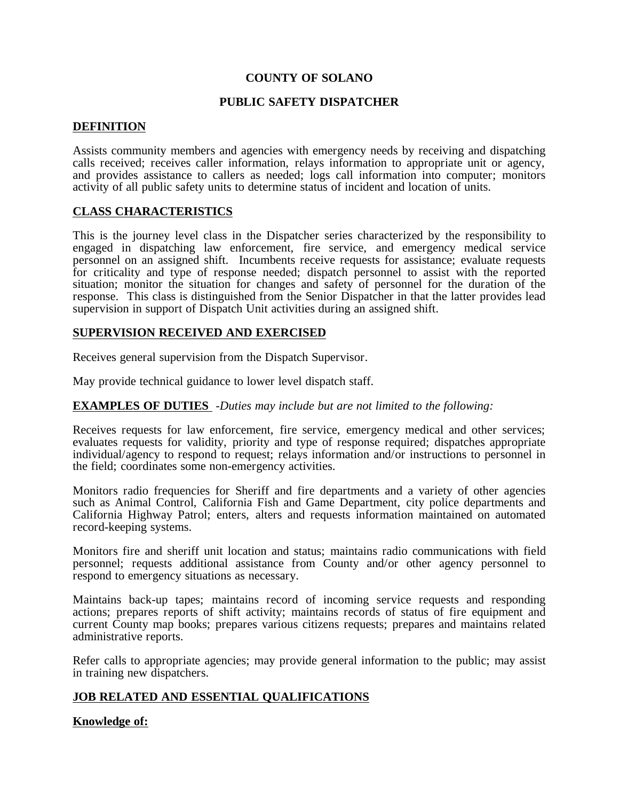# **COUNTY OF SOLANO**

### **PUBLIC SAFETY DISPATCHER**

#### **DEFINITION**

Assists community members and agencies with emergency needs by receiving and dispatching calls received; receives caller information, relays information to appropriate unit or agency, and provides assistance to callers as needed; logs call information into computer; monitors activity of all public safety units to determine status of incident and location of units.

# **CLASS CHARACTERISTICS**

This is the journey level class in the Dispatcher series characterized by the responsibility to engaged in dispatching law enforcement, fire service, and emergency medical service personnel on an assigned shift. Incumbents receive requests for assistance; evaluate requests for criticality and type of response needed; dispatch personnel to assist with the reported situation; monitor the situation for changes and safety of personnel for the duration of the response. This class is distinguished from the Senior Dispatcher in that the latter provides lead supervision in support of Dispatch Unit activities during an assigned shift.

#### **SUPERVISION RECEIVED AND EXERCISED**

Receives general supervision from the Dispatch Supervisor.

May provide technical guidance to lower level dispatch staff.

#### **EXAMPLES OF DUTIES** -*Duties may include but are not limited to the following:*

Receives requests for law enforcement, fire service, emergency medical and other services; evaluates requests for validity, priority and type of response required; dispatches appropriate individual/agency to respond to request; relays information and/or instructions to personnel in the field; coordinates some non-emergency activities.

Monitors radio frequencies for Sheriff and fire departments and a variety of other agencies such as Animal Control, California Fish and Game Department, city police departments and California Highway Patrol; enters, alters and requests information maintained on automated record-keeping systems.

Monitors fire and sheriff unit location and status; maintains radio communications with field personnel; requests additional assistance from County and/or other agency personnel to respond to emergency situations as necessary.

Maintains back-up tapes; maintains record of incoming service requests and responding actions; prepares reports of shift activity; maintains records of status of fire equipment and current County map books; prepares various citizens requests; prepares and maintains related administrative reports.

Refer calls to appropriate agencies; may provide general information to the public; may assist in training new dispatchers.

# **JOB RELATED AND ESSENTIAL QUALIFICATIONS**

# **Knowledge of:**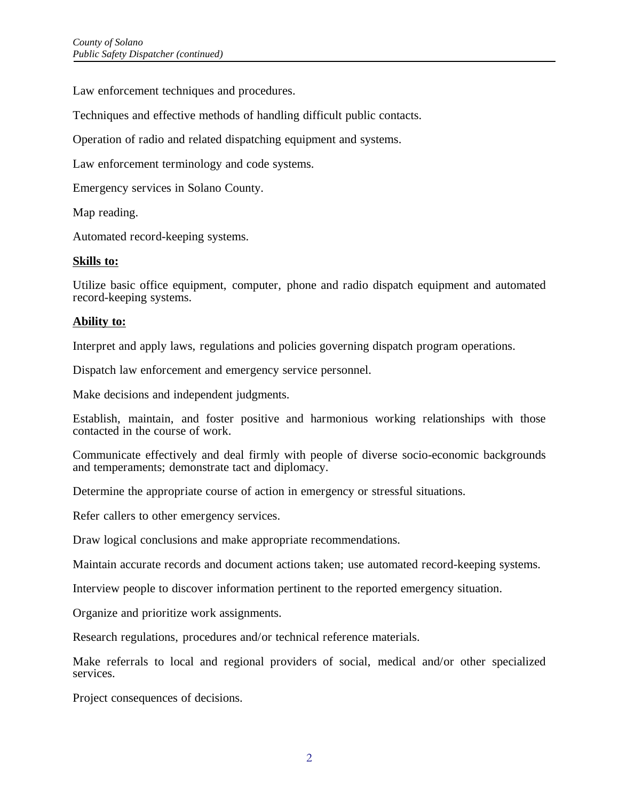Law enforcement techniques and procedures.

Techniques and effective methods of handling difficult public contacts.

Operation of radio and related dispatching equipment and systems.

Law enforcement terminology and code systems.

Emergency services in Solano County.

Map reading.

Automated record-keeping systems.

### **Skills to:**

Utilize basic office equipment, computer, phone and radio dispatch equipment and automated record-keeping systems.

# **Ability to:**

Interpret and apply laws, regulations and policies governing dispatch program operations.

Dispatch law enforcement and emergency service personnel.

Make decisions and independent judgments.

Establish, maintain, and foster positive and harmonious working relationships with those contacted in the course of work.

Communicate effectively and deal firmly with people of diverse socio-economic backgrounds and temperaments; demonstrate tact and diplomacy.

Determine the appropriate course of action in emergency or stressful situations.

Refer callers to other emergency services.

Draw logical conclusions and make appropriate recommendations.

Maintain accurate records and document actions taken; use automated record-keeping systems.

Interview people to discover information pertinent to the reported emergency situation.

Organize and prioritize work assignments.

Research regulations, procedures and/or technical reference materials.

Make referrals to local and regional providers of social, medical and/or other specialized services.

Project consequences of decisions.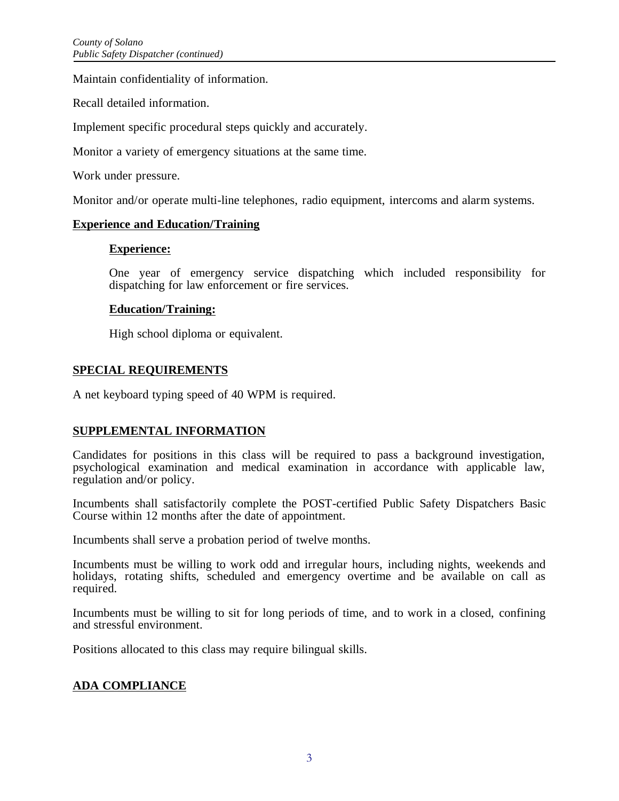Maintain confidentiality of information.

Recall detailed information.

Implement specific procedural steps quickly and accurately.

Monitor a variety of emergency situations at the same time.

Work under pressure.

Monitor and/or operate multi-line telephones, radio equipment, intercoms and alarm systems.

### **Experience and Education/Training**

### **Experience:**

One year of emergency service dispatching which included responsibility for dispatching for law enforcement or fire services.

### **Education/Training:**

High school diploma or equivalent.

# **SPECIAL REQUIREMENTS**

A net keyboard typing speed of 40 WPM is required.

# **SUPPLEMENTAL INFORMATION**

Candidates for positions in this class will be required to pass a background investigation, psychological examination and medical examination in accordance with applicable law, regulation and/or policy.

Incumbents shall satisfactorily complete the POST-certified Public Safety Dispatchers Basic Course within 12 months after the date of appointment.

Incumbents shall serve a probation period of twelve months.

Incumbents must be willing to work odd and irregular hours, including nights, weekends and holidays, rotating shifts, scheduled and emergency overtime and be available on call as required.

Incumbents must be willing to sit for long periods of time, and to work in a closed, confining and stressful environment.

Positions allocated to this class may require bilingual skills.

# **ADA COMPLIANCE**